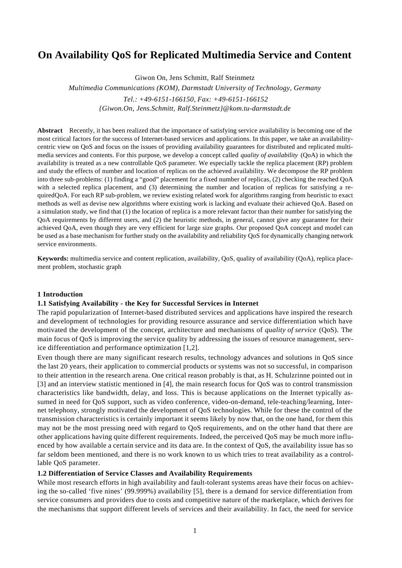# **On Availability QoS for Replicated Multimedia Service and Content**

Giwon On, Jens Schmitt, Ralf Steinmetz

*Multimedia Communications (KOM), Darmstadt University of Technology, Germany*

*Tel.: +49-6151-166150, Fax: +49-6151-166152 {Giwon.On, Jens.Schmitt, Ralf.Steinmetz}@kom.tu-darmstadt.de*

**Abstract** Recently, it has been realized that the importance of satisfying service availability is becoming one of the most critical factors for the success of Internet-based services and applications. In this paper, we take an availabilitycentric view on QoS and focus on the issues of providing availability guarantees for distributed and replicated multimedia services and contents. For this purpose, we develop a concept called *quality of availability* (QoA) in which the availability is treated as a new controllable QoS parameter. We especially tackle the replica placement (RP) problem and study the effects of number and location of replicas on the achieved availability. We decompose the RP problem into three sub-problems: (1) finding a "good" placement for a fixed number of replicas, (2) checking the reached QoA with a selected replica placement, and (3) determining the number and location of replicas for satisfying a requiredQoA. For each RP sub-problem, we review existing related work for algorithms ranging from heuristic to exact methods as well as devise new algorithms where existing work is lacking and evaluate their achieved QoA. Based on a simulation study, we find that (1) the location of replica is a more relevant factor than their number for satisfying the QoA requirements by different users, and (2) the heuristic methods, in general, cannot give any guarantee for their achieved QoA, even though they are very efficient for large size graphs. Our proposed QoA concept and model can be used as a base mechanism for further study on the availability and reliability QoS for dynamically changing network service environments.

**Keywords:** multimedia service and content replication, availability, QoS, quality of availability (QoA), replica placement problem, stochastic graph

#### **1 Introduction**

#### **1.1 Satisfying Availability - the Key for Successful Services in Internet**

The rapid popularization of Internet-based distributed services and applications have inspired the research and development of technologies for providing resource assurance and service differentiation which have motivated the development of the concept, architecture and mechanisms of *quality of service* (QoS). The main focus of QoS is improving the service quality by addressing the issues of resource management, service differentiation and performance optimization [1,2].

Even though there are many significant research results, technology advances and solutions in QoS since the last 20 years, their application to commercial products or systems was not so successful, in comparison to their attention in the research arena. One critical reason probably is that, as H. Schulzrinne pointed out in [3] and an interview statistic mentioned in [4], the main research focus for QoS was to control transmission characteristics like bandwidth, delay, and loss. This is because applications on the Internet typically assumed in need for QoS support, such as video conference, video-on-demand, tele-teaching/learning, Internet telephony, strongly motivated the development of QoS technologies. While for these the control of the transmission characteristics is certainly important it seems likely by now that, on the one hand, for them this may not be the most pressing need with regard to QoS requirements, and on the other hand that there are other applications having quite different requirements. Indeed, the perceived QoS may be much more influenced by how available a certain service and its data are. In the context of QoS, the availability issue has so far seldom been mentioned, and there is no work known to us which tries to treat availability as a controllable QoS parameter.

#### **1.2 Differentiation of Service Classes and Availability Requirements**

While most research efforts in high availability and fault-tolerant systems areas have their focus on achieving the so-called 'five nines' (99.999%) availability [5], there is a demand for service differentiation from service consumers and providers due to costs and competitive nature of the marketplace, which derives for the mechanisms that support different levels of services and their availability. In fact, the need for service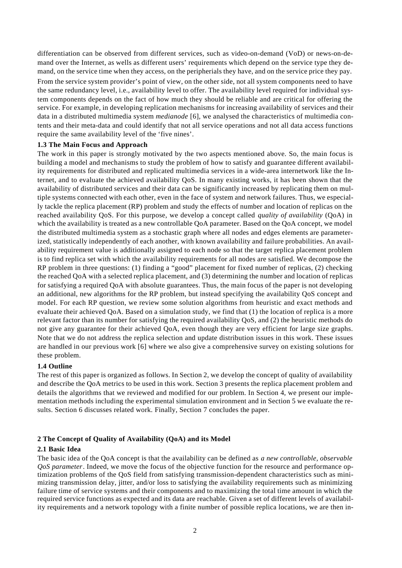differentiation can be observed from different services, such as video-on-demand (VoD) or news-on-demand over the Internet, as wells as different users' requirements which depend on the service type they demand, on the service time when they access, on the peripherials they have, and on the service price they pay. From the service system provider's point of view, on the other side, not all system components need to have the same redundancy level, i.e., availability level to offer. The availability level required for individual system components depends on the fact of how much they should be reliable and are critical for offering the service. For example, in developing replication mechanisms for increasing availability of services and their data in a distributed multimedia system *medianode* [6], we analysed the characteristics of multimedia contents and their meta-data and could identify that not all service operations and not all data access functions require the same availability level of the 'five nines'.

#### **1.3 The Main Focus and Approach**

The work in this paper is strongly motivated by the two aspects mentioned above. So, the main focus is building a model and mechanisms to study the problem of how to satisfy and guarantee different availability requirements for distributed and replicated multimedia services in a wide-area internetwork like the Internet, and to evaluate the achieved availability QoS. In many existing works, it has been shown that the availability of distributed services and their data can be significantly increased by replicating them on multiple systems connected with each other, even in the face of system and network failures. Thus, we especially tackle the replica placement (RP) problem and study the effects of number and location of replicas on the reached availability QoS. For this purpose, we develop a concept called *quality of availability* (QoA) in which the availability is treated as a new controllable QoA parameter. Based on the QoA concept, we model the distributed multimedia system as a stochastic graph where all nodes and edges elements are parameterized, statistically independently of each another, with known availability and failure probabilities. An availability requirement value is additionally assigned to each node so that the target replica placement problem is to find replica set with which the availability requirements for all nodes are satisfied. We decompose the RP problem in three questions: (1) finding a "good" placement for fixed number of replicas, (2) checking the reached QoA with a selected replica placement, and (3) determining the number and location of replicas for satisfying a required QoA with absolute guarantees. Thus, the main focus of the paper is not developing an additional, new algorithms for the RP problem, but instead specifying the availability QoS concept and model. For each RP question, we review some solution algorithms from heuristic and exact methods and evaluate their achieved QoA. Based on a simulation study, we find that (1) the location of replica is a more relevant factor than its number for satisfying the required availability QoS, and (2) the heuristic methods do not give any guarantee for their achieved QoA, even though they are very efficient for large size graphs. Note that we do not address the replica selection and update distribution issues in this work. These issues are handled in our previous work [6] where we also give a comprehensive survey on existing solutions for these problem.

### **1.4 Outline**

The rest of this paper is organized as follows. In Section 2, we develop the concept of quality of availability and describe the QoA metrics to be used in this work. Section 3 presents the replica placement problem and details the algorithms that we reviewed and modified for our problem. In Section 4, we present our implementation methods including the experimental simulation environment and in Section 5 we evaluate the results. Section 6 discusses related work. Finally, Section 7 concludes the paper.

## **2 The Concept of Quality of Availability (QoA) and its Model**

## **2.1 Basic Idea**

The basic idea of the QoA concept is that the availability can be defined as *a new controllable, observable QoS parameter*. Indeed, we move the focus of the objective function for the resource and performance optimization problems of the QoS field from satisfying transmission-dependent characteristics such as minimizing transmission delay, jitter, and/or loss to satisfying the availability requirements such as minimizing failure time of service systems and their components and to maximizing the total time amount in which the required service functions as expected and its data are reachable. Given a set of different levels of availability requirements and a network topology with a finite number of possible replica locations, we are then in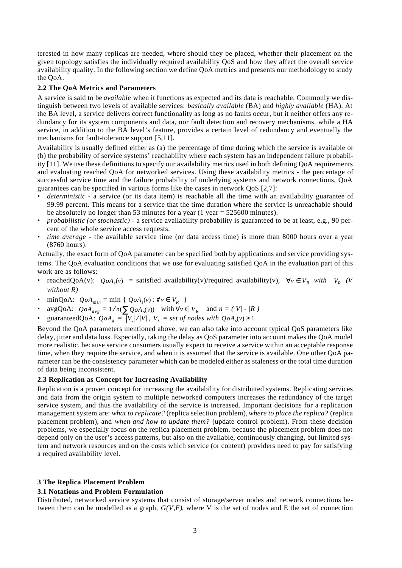terested in how many replicas are needed, where should they be placed, whether their placement on the given topology satisfies the individually required availability QoS and how they affect the overall service availability quality. In the following section we define QoA metrics and presents our methodology to study the QoA.

## **2.2 The QoA Metrics and Parameters**

A service is said to be *available* when it functions as expected and its data is reachable. Commonly we distinguish between two levels of available services: *basically available* (BA) and *highly available* (HA). At the BA level, a service delivers correct functionality as long as no faults occur, but it neither offers any redundancy for its system components and data, nor fault detection and recovery mechanisms, while a HA service, in addition to the BA level's feature, provides a certain level of redundancy and eventually the mechanisms for fault-tolerance support [5,11].

Availability is usually defined either as (a) the percentage of time during which the service is available or (b) the probability of service systems' reachability where each system has an independent failure probability [11]. We use these definitions to specify our availability metrics used in both defining QoA requirements and evaluating reached QoA for networked services. Using these availability metrics - the percentage of successful service time and the failure probability of underlying systems and network connections, QoA guarantees can be specified in various forms like the cases in network QoS [2,7]:

- *deterministic* a service (or its data item) is reachable all the time with an availability guarantee of 99.99 percent. This means for a service that the time duration where the service is unreachable should be absolutely no longer than 53 minutes for a year (1 year =  $525600$  minutes).
- *probabilistic (or stochastic)* a service availability probability is guaranteed to be at least, e.g., 90 percent of the whole service access requests.
- *time average* the available service time (or data access time) is more than 8000 hours over a year (8760 hours).

Actually, the exact form of QoA parameter can be specified both by applications and service providing systems. The QoA evaluation conditions that we use for evaluating satisfied QoA in the evaluation part of this work are as follows:

- reachedQoA(v):  $QoA_s(v)$  = satisfied availability(v)/required availability(v),  $\forall v \in V_R$  *with*  $V_R$  (V *without R)*
- minQoA:  $QoA_{min} = \min \{ QoA_s(v) : \forall v \in V_R \}$
- avgQoA:  $Q_0A_{ave} = 1/n(\sum_{O \circ A} (v))$  with  $\forall v \in V_R$  and  $n = (|V| |R|)$  $QoA_{avg} = 1/n(\sum QoA_s(v))$  with  $\forall v \in V_R$
- guaranteedQoA:  $Q \circ A_{\varphi} = |V_{\varphi}|/|V|$ ,  $V_{\varphi} = \mathcal{E}$  *set of nodes with*  $Q \circ A_g = |V_s|/|V|$ ,  $V_s = set \ of \ nodes \ with \ Q \circ A_s(v) \ge 1$

Beyond the QoA parameters mentioned above, we can also take into account typical QoS parameters like delay, jitter and data loss. Especially, taking the delay as QoS parameter into account makes the QoA model more realistic, because service consumers usually expect to receive a service within an acceptable response time, when they require the service, and when it is assumed that the service is available. One other QoA parameter can be the consistency parameter which can be modeled either as staleness or the total time duration of data being inconsistent.

#### **2.3 Replication as Concept for Increasing Availability**

Replication is a proven concept for increasing the availability for distributed systems. Replicating services and data from the origin system to multiple networked computers increases the redundancy of the target service system, and thus the availability of the service is increased. Important decisions for a replication management system are: *what to replicate?* (replica selection problem), *where to place the replica?* (replica placement problem), and *when and how to update them?* (update control problem). From these decision problems, we especially focus on the replica placement problem, because the placement problem does not depend only on the user's access patterns, but also on the available, continuously changing, but limited system and network resources and on the costs which service (or content) providers need to pay for satisfying a required availability level.

#### **3 The Replica Placement Problem**

#### **3.1 Notations and Problem Formulation**

Distributed, networked service systems that consist of storage/server nodes and network connections between them can be modelled as a graph,  $G(V,E)$ , where V is the set of nodes and E the set of connection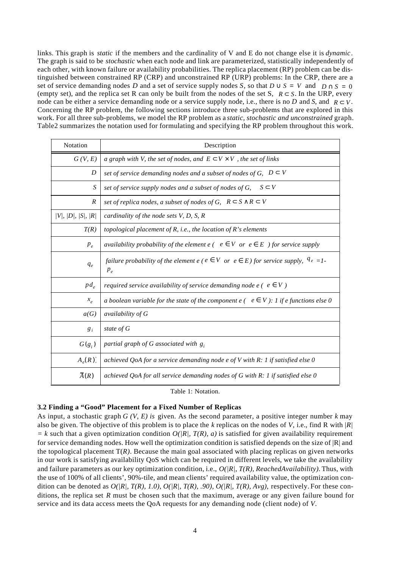links. This graph is *static* if the members and the cardinality of V and E do not change else it is *dynamic*. The graph is said to be *stochastic* when each node and link are parameterized, statistically independently of each other, with known failure or availability probabilities. The replica placement (RP) problem can be distinguished between constrained RP (CRP) and unconstrained RP (URP) problems: In the CRP, there are a set of service demanding nodes *D* and a set of service supply nodes *S*, so that  $D \cup S = V$  and  $D \cap S = 0$ (empty set), and the replica set R can only be built from the nodes of the set S,  $R \subset S$ . In the URP, every node can be either a service demanding node or a service supply node, i.e., there is no *D* and *S*, and  $R \subset V$ . Concerning the RP problem, the following sections introduce three sub-problems that are explored in this work. For all three sub-problems, we model the RP problem as a *static, stochastic and unconstrained* graph. Table2 summarizes the notation used for formulating and specifying the RP problem throughout this work.

| Notation          | Description                                                                                                |  |  |  |  |  |
|-------------------|------------------------------------------------------------------------------------------------------------|--|--|--|--|--|
| G(V, E)           | a graph with V, the set of nodes, and $E \subset V \times V$ , the set of links                            |  |  |  |  |  |
| D                 | set of service demanding nodes and a subset of nodes of G, $D \subset V$                                   |  |  |  |  |  |
| $\boldsymbol{S}$  | $S \subset V$<br>set of service supply nodes and a subset of nodes of G,                                   |  |  |  |  |  |
| R                 | set of replica nodes, a subset of nodes of G, $R \subset S \wedge R \subset V$                             |  |  |  |  |  |
| V ,  D ,  S ,  R  | cardinality of the node sets $V$ , $D$ , $S$ , $R$                                                         |  |  |  |  |  |
| T(R)              | topological placement of $R$ , i.e., the location of $R$ 's elements                                       |  |  |  |  |  |
| $p_e$             | availability probability of the element $e \in V$ or $e \in E$ ) for service supply                        |  |  |  |  |  |
| $q_e$             | failure probability of the element $e$ ( $e \in V$ or $e \in E$ ) for service supply, $q_e = 1$ .<br>$p_e$ |  |  |  |  |  |
| $p d_e$           | required service availability of service demanding node $e$ ( $e \in V$ )                                  |  |  |  |  |  |
| $x_e$             | a boolean variable for the state of the component $e \in V$ : 1 if e functions else 0                      |  |  |  |  |  |
| a(G)              | availability of $G$                                                                                        |  |  |  |  |  |
| $g_i$             | state of $G$                                                                                               |  |  |  |  |  |
| $G(g_i)$          | partial graph of G associated with $g_i$                                                                   |  |  |  |  |  |
| $A_e(R)$          | achieved QoA for a service demanding node e of V with R: 1 if satisfied else 0                             |  |  |  |  |  |
| $\overline{A}(R)$ | achieved QoA for all service demanding nodes of G with R: 1 if satisfied else 0                            |  |  |  |  |  |

Table 1: Notation.

#### **3.2 Finding a "Good" Placement for a Fixed Number of Replicas**

As input, a stochastic graph *G (V, E) is* given. As the second parameter, a positive integer number *k* may also be given. The objective of this problem is to place the *k* replicas on the nodes of *V*, i.e., find R with *|R|*  $= k$  such that a given optimization condition  $O(|R|, T(R), a)$  is satisfied for given availability requirement for service demanding nodes. How well the optimization condition is satisfied depends on the size of |R| and the topological placement  $T(R)$ . Because the main goal associated with placing replicas on given networks in our work is satisfying availability QoS which can be required in different levels, we take the availability and failure parameters as our key optimization condition, i.e., *O(|R|, T(R), ReachedAvailability).* Thus, with the use of 100% of all clients', 90%-tile, and mean clients' required availability value, the optimization condition can be denoted as  $O(|R|, T(R), 1.0)$ ,  $O(|R|, T(R), .90)$ ,  $O(|R|, T(R), Avg)$ , respectively. For these conditions, the replica set *R* must be chosen such that the maximum, average or any given failure bound for service and its data access meets the QoA requests for any demanding node (client node) of *V*.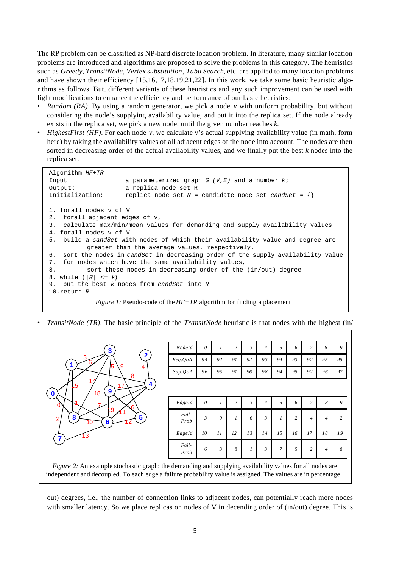The RP problem can be classified as NP-hard discrete location problem. In literature, many similar location problems are introduced and algorithms are proposed to solve the problems in this category. The heuristics such as *Greedy, TransitNode, Vertex substitution*, *Tabu Search*, etc. are applied to many location problems and have shown their efficiency [15,16,17,18,19,21,22]. In this work, we take some basic heuristic algorithms as follows. But, different variants of these heuristics and any such improvement can be used with light modifications to enhance the efficiency and performance of our basic heuristics:

- *Random (RA)*. By using a random generator, we pick a node *v* with uniform probability, but without considering the node's supplying availability value, and put it into the replica set. If the node already exists in the replica set, we pick a new node, until the given number reaches *k*.
- *HighestFirst (HF)*. For each node *v*, we calculate v's actual supplying availability value (in math. form here) by taking the availability values of all adjacent edges of the node into account. The nodes are then sorted in decreasing order of the actual availability values, and we finally put the best *k* nodes into the replica set.

```
Algorithm HF+TR
Input: a parameterized graph G (V,E) and a number k;
Output: a replica node set R 
Initialization: replica node set R = candidate node set candSet = {}
1. forall nodes v of V 
2. forall adjacent edges of v, 
3. calculate max/min/mean values for demanding and supply availability values 
4. forall nodes v of V 
5. build a candSet with nodes of which their availability value and degree are 
          greater than the average values, respectively. 
6. sort the nodes in candSet in decreasing order of the supply availability value 
7. for nodes which have the same availability values, 
8. sort these nodes in decreasing order of the (in/out) degree 
8. while (|R| <= k)
9. put the best k nodes from candSet into R 
10.return R
```
*Figure 1:* Pseudo-code of the *HF+TR* algorithm for finding a placement

• *TransitNode (TR)*. The basic principle of the *TransitNode* heuristic is that nodes with the highest (in/



| NodeId        | $\theta$       | $\boldsymbol{l}$ | $\overline{c}$              | $\mathfrak{Z}$ | $\overline{4}$ | 5                | 6              | $\overline{7}$ | 8              | 9              |
|---------------|----------------|------------------|-----------------------------|----------------|----------------|------------------|----------------|----------------|----------------|----------------|
| Req.QoA       | 94             | 92               | 91                          | 92             | 93             | 94               | 93             | 92             | 95             | 95             |
| Sup. QoA      | 96             | 95               | 91                          | 96             | 98             | 94               | 95             | 92             | 96             | 97             |
|               |                |                  |                             |                |                |                  |                |                |                |                |
| EdgeId        | $\theta$       | $\mathfrak{1}$   | $\overline{c}$              | $\mathfrak{Z}$ | $\overline{4}$ | 5                | 6              | 7              | 8              | 9              |
| Fail-<br>Prob | $\mathfrak{Z}$ | 9                | $\mathcal{I}_{\mathcal{I}}$ | 6              | $\mathfrak{Z}$ | $\boldsymbol{l}$ | $\overline{c}$ | $\overline{4}$ | $\overline{4}$ | $\overline{c}$ |
| EdgeId        | 10             | 11               | 12                          | 13             | 14             | 15               | 16             | 17             | 18             | 19             |
| Fail-         |                |                  |                             |                |                |                  |                |                |                |                |

*Figure 2:* An example stochastic graph: the demanding and supplying availability values for all nodes are independent and decoupled. To each edge a failure probability value is assigned. The values are in percentage.

*Prob*

out) degrees, i.e., the number of connection links to adjacent nodes, can potentially reach more nodes with smaller latency. So we place replicas on nodes of V in decending order of (in/out) degree. This is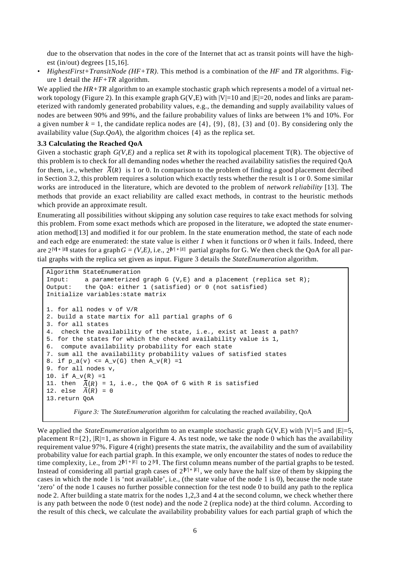due to the observation that nodes in the core of the Internet that act as transit points will have the highest (in/out) degrees [15,16].

• *HighestFirst+TransitNode (HF+TR)*. This method is a combination of the *HF* and *TR* algorithms. Figure 1 detail the *HF+TR* algorithm.

We applied the *HR+TR* algorithm to an example stochastic graph which represents a model of a virtual network topology (Figure 2). In this example graph  $G(V,E)$  with  $|V|=10$  and  $|E|=20$ , nodes and links are parameterized with randomly generated probability values, e.g., the demanding and supply availability values of nodes are between 90% and 99%, and the failure probability values of links are between 1% and 10%. For a given number  $k = 1$ , the candidate replica nodes are  $\{4\}$ ,  $\{9\}$ ,  $\{8\}$ ,  $\{3\}$  and  $\{0\}$ . By considering only the availability value (*Sup.QoA*), the algorithm choices {4} as the replica set.

#### **3.3 Calculating the Reached QoA**

Given a stochastic graph *G(V,E)* and a replica set *R* with its topological placement T(R). The objective of this problem is to check for all demanding nodes whether the reached availability satisfies the required QoA for them, i.e., whether  $\overline{A}(R)$  is 1 or 0. In comparison to the problem of finding a good placement decribed in Section 3.2, this problem requires a solution which exactly tests whether the result is 1 or 0. Some similar works are introduced in the literature, which are devoted to the problem of *network reliability* [13]. The methods that provide an exact reliability are called exact methods, in contrast to the heuristic methods which provide an approximate result.

Enumerating all possibilities without skipping any solution case requires to take exact methods for solving this problem. From some exact methods which are proposed in the literature, we adopted the state enumeration method[13] and modified it for our problem. In the state enumeration method, the state of each node and each edge are enumerated: the state value is either *1* when it functions or *0* when it fails. Indeed, there are  $2^{|v|+|E|}$  states for a graph  $G = (V, E)$ , i.e.,  $2^{|v|+|E|}$  partial graphs for G. We then check the QoA for all partial graphs with the replica set given as input. Figure 3 details the *StateEnumeration* algorithm.

```
Algorithm StateEnumeration
Input: a parameterized graph G (V,E) and a placement (replica set R);
Output: the QoA: either 1 (satisfied) or 0 (not satisfied)
Initialize variables:state matrix
1. for all nodes v of V/R
2. build a state martix for all partial graphs of G
3. for all states
4. check the availability of the state, i.e., exist at least a path?
5. for the states for which the checked availability value is 1, 
6. compute availability probability for each state 
7. sum all the availability probability values of satisfied states
8. if p_a(v) \leq A_v(G) then A_v(R) = 19. for all nodes v, 
10. if A_V(R) = 111. then \overline{A}(R) = 1, i.e., the QoA of G with R is satisfied
12. else \overline{A}(R) = 013.return QoA
```
*Figure 3:* The *StateEnumeration* algorithm for calculating the reached availability, QoA

We applied the *StateEnumeration* algorithm to an example stochastic graph  $G(V,E)$  with  $|V|=5$  and  $|E|=5$ , placement  $R=\{2\}$ ,  $|R|=1$ , as shown in Figure 4. As test node, we take the node 0 which has the availability requirement value 97%. Figure 4 (right) presents the state matrix, the availability and the sum of availability probability value for each partial graph. In this example, we only encounter the states of nodes to reduce the time complexity, i.e., from  $2^{|V|+|E|}$  to  $2^{|V|}$ . The first column means number of the partial graphs to be tested. Instead of considering all partial graph cases of  $2^{|V|+|E|}$ , we only have the half size of them by skipping the cases in which the node 1 is 'not available', i.e., (the state value of the node 1 is 0), because the node state 'zero' of the node 1 causes no further possible connection for the test node 0 to build any path to the replica node 2. After building a state matrix for the nodes 1,2,3 and 4 at the second column, we check whether there is any path between the node 0 (test node) and the node 2 (replica node) at the third column. According to the result of this check, we calculate the availability probability values for each partial graph of which the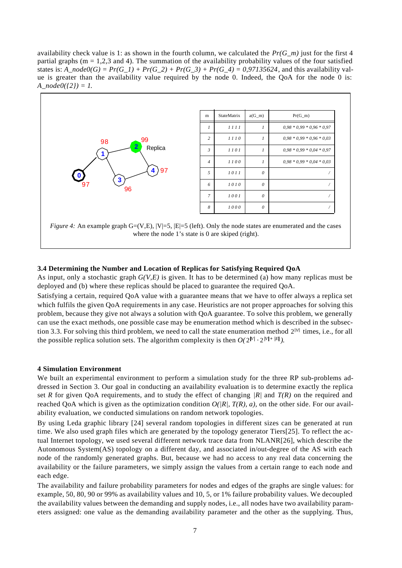availability check value is 1: as shown in the fourth column, we calculated the  $Pr(G_m)$  just for the first 4 partial graphs ( $m = 1,2,3$  and 4). The summation of the availability probability values of the four satisfied states is:  $A\_nodeO(G) = Pr(G_1) + Pr(G_2) + Pr(G_3) + Pr(G_4) = 0.97135624$ , and this availability value is greater than the availability value required by the node 0. Indeed, the QoA for the node 0 is: *A\_node0({2}) = 1*.



#### **3.4 Determining the Number and Location of Replicas for Satisfying Required QoA**

As input, only a stochastic graph *G(V,E)* is given. It has to be determined (a) how many replicas must be deployed and (b) where these replicas should be placed to guarantee the required QoA.

Satisfying a certain, required QoA value with a guarantee means that we have to offer always a replica set which fulfils the given QoA requirements in any case. Heuristics are not proper approaches for solving this problem, because they give not always a solution with QoA guarantee. To solve this problem, we generally can use the exact methods, one possible case may be enumeration method which is described in the subsection 3.3. For solving this third problem, we need to call the state enumeration method  $2^{\text{M}}$  times, i.e., for all the possible replica solution sets. The algorithm complexity is then  $O(2^{|V|} \cdot 2^{|V| + |E|})$ .

#### **4 Simulation Environment**

We built an experimental environment to perform a simulation study for the three RP sub-problems addressed in Section 3. Our goal in conducting an availability evaluation is to determine exactly the replica set *R* for given QoA requirements, and to study the effect of changing *|R|* and *T(R)* on the required and reached QoA which is given as the optimization condition  $O(|R|, T(R), a)$ , on the other side. For our availability evaluation, we conducted simulations on random network topologies.

By using Leda graphic library [24] several random topologies in different sizes can be generated at run time. We also used graph files which are generated by the topology generator Tiers[25]. To reflect the actual Internet topology, we used several different network trace data from NLANR[26], which describe the Autonomous System(AS) topology on a different day, and associated in/out-degree of the AS with each node of the randomly generated graphs. But, because we had no access to any real data concerning the availability or the failure parameters, we simply assign the values from a certain range to each node and each edge.

The availability and failure probability parameters for nodes and edges of the graphs are single values: for example, 50, 80, 90 or 99% as availability values and 10, 5, or 1% failure probability values. We decoupled the availability values between the demanding and supply nodes, i.e., all nodes have two availability parameters assigned: one value as the demanding availability parameter and the other as the supplying. Thus,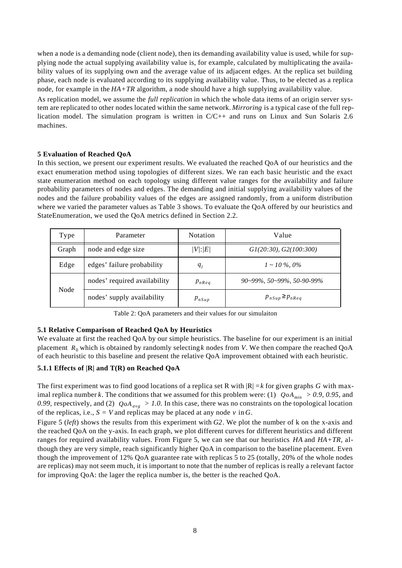when a node is a demanding node (client node), then its demanding availability value is used, while for supplying node the actual supplying availability value is, for example, calculated by multiplicating the availability values of its supplying own and the average value of its adjacent edges. At the replica set building phase, each node is evaluated according to its supplying availability value. Thus, to be elected as a replica node, for example in the *HA+TR* algorithm, a node should have a high supplying availability value.

As replication model, we assume the *full replication* in which the whole data items of an origin server system are replicated to other nodes located within the same network. *Mirroring* is a typical case of the full replication model. The simulation program is written in C/C++ and runs on Linux and Sun Solaris 2.6 machines.

## **5 Evaluation of Reached QoA**

In this section, we present our experiment results. We evaluated the reached QoA of our heuristics and the exact enumeration method using topologies of different sizes. We ran each basic heuristic and the exact state enumeration method on each topology using different value ranges for the availability and failure probability parameters of nodes and edges. The demanding and initial supplying availability values of the nodes and the failure probability values of the edges are assigned randomly, from a uniform distribution where we varied the parameter values as Table 3 shows. To evaluate the QoA offered by our heuristics and StateEnumeration, we used the QoA metrics defined in Section 2.2.

| Type  | Parameter                    | Notation      | Value                         |
|-------|------------------------------|---------------|-------------------------------|
| Graph | node and edge size           | $ V $ :/ $E/$ | GI(20:30), G2(100:300)        |
| Edge  | edges' failure probability   | $q_l$         | $1 \sim 10\%$ , 0%            |
| Node  | nodes' required availability | $p_{nReq}$    | $90-99\%$ , 50~99%, 50-90-99% |
|       | nodes' supply availability   | $p_{nSup}$    | $p_{nSup} \geq p_{nReg}$      |

Table 2: QoA parameters and their values for our simulaiton

#### **5.1 Relative Comparison of Reached QoA by Heuristics**

We evaluate at first the reached QoA by our simple heuristics. The baseline for our experiment is an initial placement  $R_0$  which is obtained by randomly selecting *k* nodes from *V*. We then compare the reached QoA of each heuristic to this baseline and present the relative QoA improvement obtained with each heuristic.

#### **5.1.1 Effects of |R| and T(R) on Reached QoA**

The first experiment was to find good locations of a replica set R with  $|R| = k$  for given graphs *G* with maximal replica number *k*. The conditions that we assumed for this problem were: (1)  $Q_0A_{min} > 0.9$ , 0.95, and 0.99, respectively, and (2)  $Q_0A_{avg} > 1.0$ . In this case, there was no constraints on the topological location of the replicas, i.e.,  $S = V$  and replicas may be placed at any node  $v$  in  $G$ .

Figure 5 (*left*) shows the results from this experiment with *G2*. We plot the number of k on the x-axis and the reached QoA on the y-axis. In each graph, we plot different curves for different heuristics and different ranges for required availability values. From Figure 5, we can see that our heuristics *HA* and *HA+TR*, although they are very simple, reach significantly higher QoA in comparison to the baseline placement. Even though the improvement of 12% QoA guarantee rate with replicas 5 to 25 (totally, 20% of the whole nodes are replicas) may not seem much, it is important to note that the number of replicas is really a relevant factor for improving QoA: the lager the replica number is, the better is the reached QoA.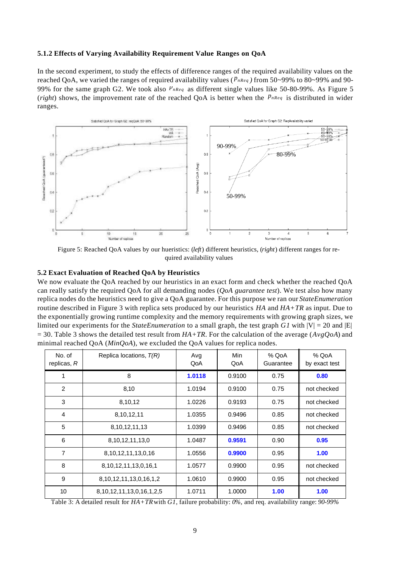### **5.1.2 Effects of Varying Availability Requirement Value Ranges on QoA**

In the second experiment, to study the effects of difference ranges of the required availability values on the reached QoA, we varied the ranges of required availability values ( $p_{nReq}$ ) from 50~99% to 80~99% and 90-99% for the same graph G2. We took also  $P_{nReq}$  as different single values like 50-80-99%. As Figure 5 (*right*) shows, the improvement rate of the reached QoA is better when the  $p_{nReq}$  is distributed in wider ranges.



Figure 5: Reached QoA values by our hueristics: (*left*) different heuristics, (*right*) different ranges for required availability values

#### **5.2 Exact Evaluation of Reached QoA by Heuristics**

We now evaluate the QoA reached by our heuristics in an exact form and check whether the reached QoA can really satisfy the required QoA for all demanding nodes (*QoA guarantee test*). We test also how many replica nodes do the heuristics need to give a QoA guarantee. For this purpose we ran our *StateEnumeration* routine described in Figure 3 with replica sets produced by our heuristics *HA* and *HA+TR* as input. Due to the exponentially growing runtime complexity and the memory requirements with growing graph sizes, we limited our experiments for the *StateEnumeration* to a small graph, the test graph  $GI$  with  $|V| = 20$  and  $|E|$  $= 30$ . Table 3 shows the detailed test result from *HA+TR*. For the calculation of the average ( $AvgQoA$ ) and minimal reached QoA (*MinQoA*), we excluded the QoA values for replica nodes.

| No. of<br>replicas, $R$ | Replica locations, $T(R)$      | Avg<br>QoA | Min<br>QoA | % QoA<br>Guarantee | % QoA<br>by exact test |
|-------------------------|--------------------------------|------------|------------|--------------------|------------------------|
| 1                       | 8                              | 1.0118     | 0.9100     | 0.75               | 0.80                   |
| 2                       | 8,10                           | 1.0194     | 0.9100     | 0.75               | not checked            |
| 3                       | 8,10,12                        | 1.0226     | 0.9193     | 0.75               | not checked            |
| 4                       | 8,10,12,11                     | 1.0355     | 0.9496     | 0.85               | not checked            |
| 5                       | 8, 10, 12, 11, 13              | 1.0399     | 0.9496     | 0.85               | not checked            |
| 6                       | 8,10,12,11,13,0                | 1.0487     | 0.9591     | 0.90               | 0.95                   |
| $\overline{7}$          | 8, 10, 12, 11, 13, 0, 16       | 1.0556     | 0.9900     | 0.95               | 1.00                   |
| 8                       | 8, 10, 12, 11, 13, 0, 16, 1    | 1.0577     | 0.9900     | 0.95               | not checked            |
| 9                       | 8, 10, 12, 11, 13, 0, 16, 1, 2 | 1.0610     | 0.9900     | 0.95               | not checked            |
| 10                      | 8,10,12,11,13,0,16,1,2,5       | 1.0711     | 1.0000     | 1.00               | 1.00                   |

Table 3: A detailed result for *HA+TR*with *G1*, failure probability: *0%*, and req. availability range: *90-99%*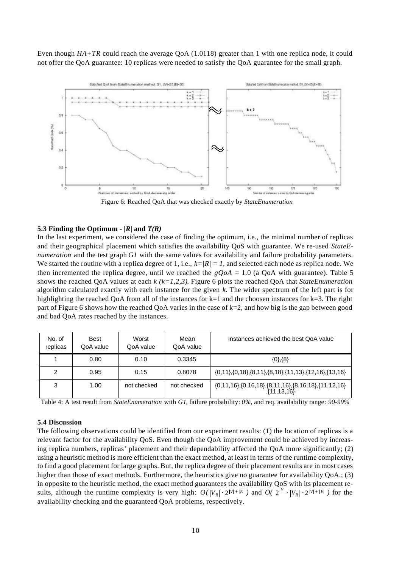Even though  $HA+TR$  could reach the average QoA (1.0118) greater than 1 with one replica node, it could not offer the QoA guarantee: 10 replicas were needed to satisfy the QoA guarantee for the small graph.



Figure 6: Reached QoA that was checked exactly by *StateEnumeration*

#### **5.3 Finding the Optimum -**  $\frac{R}{\text{ and }} T(R)$

In the last experiment, we considered the case of finding the optimum, i.e., the minimal number of replicas and their geographical placement which satisfies the availability QoS with guarantee. We re-used *StateEnumeration* and the test graph *G1* with the same values for availability and failure probability parameters. We started the routine with a replica degree of 1, i.e.,  $k=|R|=1$ , and selected each node as replica node. We then incremented the replica degree, until we reached the  $gQoA = 1.0$  (a QoA with guarantee). Table 5 shows the reached QoA values at each *k (k=1,2,3)*. Figure 6 plots the reached QoA that *StateEnumeration* algorithm calculated exactly with each instance for the given *k*. The wider spectrum of the left part is for highlighting the reached QoA from all of the instances for k=1 and the choosen instances for k=3. The right part of Figure 6 shows how the reached QoA varies in the case of k=2, and how big is the gap between good and bad QoA rates reached by the instances.

| No. of<br>replicas | Best<br>QoA value | Worst<br>QoA value | Mean<br>QoA value | Instances achieved the best QoA value                                                        |
|--------------------|-------------------|--------------------|-------------------|----------------------------------------------------------------------------------------------|
|                    | 0.80              | 0.10               | 0.3345            | $\{0\},\{8\}$                                                                                |
| 2                  | 0.95              | 0.15               | 0.8078            | $\{0,11\}, \{0,18\}, \{8,11\}, \{8,18\}, \{11,13\}, \{12,16\}, \{13,16\}$                    |
| 3                  | 1.00              | not checked        | not checked       | $\{0, 11, 16\}, \{0, 16, 18\}, \{8, 11, 16\}, \{8, 16, 18\}, \{11, 12, 16\}$<br>(11, 13, 16) |

Table 4: A test result from *StateEnumeration* with *G1*, failure probability: *0%*, and req. availability range: *90-99%*

#### **5.4 Discussion**

The following observations could be identified from our experiment results: (1) the location of replicas is a relevant factor for the availability QoS. Even though the QoA improvement could be achieved by increasing replica numbers, replicas' placement and their dependability affected the QoA more significantly; (2) using a heuristic method is more efficient than the exact method, at least in terms of the runtime complexity, to find a good placement for large graphs. But, the replica degree of their placement results are in most cases higher than those of exact methods. Furthermore, the heuristics give no guarantee for availability QoA.; (3) in opposite to the heuristic method, the exact method guarantees the availability QoS with its placement results, although the runtime complexity is very high:  $O(|V_R| \cdot 2^{|V| + |E|})$  and  $O(|2^{|V|} \cdot |V_R| \cdot 2^{|V| + |E|})$  for the availability checking and the guaranteed QoA problems, respectively.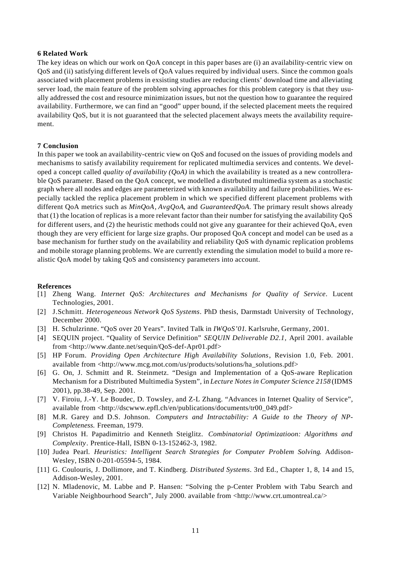#### **6 Related Work**

The key ideas on which our work on QoA concept in this paper bases are (i) an availability-centric view on QoS and (ii) satisfying different levels of QoA values required by individual users. Since the common goals associated with placement problems in exsisting studies are reducing clients' download time and alleviating server load, the main feature of the problem solving approaches for this problem category is that they usually addressed the cost and resource minimization issues, but not the question how to guarantee the required availability. Furthermore, we can find an "good" upper bound, if the selected placement meets the required availability QoS, but it is not guaranteed that the selected placement always meets the availability requirement.

#### **7 Conclusion**

In this paper we took an availability-centric view on QoS and focused on the issues of providing models and mechanisms to satisfy availability requirement for replicated multimedia services and contents. We developed a concept called *quality of availability (QoA)* in which the availability is treated as a new controllerable QoS parameter. Based on the QoA concept, we modelled a distrbuted multimedia system as a stochastic graph where all nodes and edges are parameterized with known availability and failure probabilities. We especially tackled the replica placement problem in which we specified different placement problems with different QoA metrics such as *MinQoA*, *AvgQoA*, and *GuaranteedQoA*. The primary result shows already that (1) the location of replicas is a more relevant factor than their number for satisfying the availability QoS for different users, and (2) the heuristic methods could not give any guarantee for their achieved QoA, even though they are very efficient for large size graphs. Our proposed QoA concept and model can be used as a base mechanism for further study on the availability and reliability QoS with dynamic replication problems and mobile storage planning problems. We are currently extending the simulation model to build a more realistic QoA model by taking QoS and consistency parameters into account.

#### **References**

- [1] Zheng Wang. *Internet QoS: Architectures and Mechanisms for Quality of Service*. Lucent Technologies, 2001.
- [2] J.Schmitt. *Heterogeneous Network QoS Systems*. PhD thesis, Darmstadt University of Technology, December 2000.
- [3] H. Schulzrinne. "QoS over 20 Years". Invited Talk in *IWQoS'01*. Karlsruhe, Germany, 2001.
- [4] SEQUIN project. "Quality of Service Definition" *SEQUIN Deliverable D2.1,* April 2001. available from <http://www.dante.net/sequin/QoS-def-Apr01.pdf>
- [5] HP Forum. *Providing Open Architecture High Availability Solutions*, Revision 1.0, Feb. 2001. available from <http://www.mcg.mot.com/us/products/solutions/ha\_solutions.pdf>
- [6] G. On, J. Schmitt and R. Steinmetz. "Design and Implementation of a QoS-aware Replication Mechanism for a Distributed Multimedia System", in *Lecture Notes in Computer Science 2158* (IDMS 2001), pp.38-49, Sep. 2001.
- [7] V. Firoiu, J.-Y. Le Boudec, D. Towsley, and Z-L Zhang. "Advances in Internet Quality of Service", available from <http://dscwww.epfl.ch/en/publications/documents/tr00\_049.pdf>
- [8] M.R. Garey and D.S. Johnson. *Computers and Intractability: A Guide to the Theory of NP-Completeness.* Freeman, 1979.
- [9] Christos H. Papadimitrio and Kenneth Steiglitz. *Combinatorial Optimizatioon: Algorithms and Complexity*. Prentice-Hall, ISBN 0-13-152462-3, 1982.
- [10] Judea Pearl. *Heuristics: Intelligent Search Strategies for Computer Problem Solving*. Addison-Wesley, ISBN 0-201-05594-5, 1984.
- [11] G. Coulouris, J. Dollimore, and T. Kindberg. *Distributed Systems*. 3rd Ed., Chapter 1, 8, 14 and 15, Addison-Wesley, 2001.
- [12] N. Mladenovic, M. Labbe and P. Hansen: "Solving the p-Center Problem with Tabu Search and Variable Neighbourhood Search", July 2000. available from <http://www.crt.umontreal.ca/>